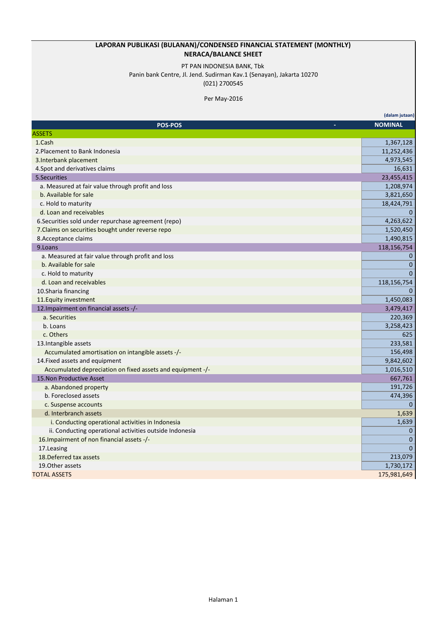### **LAPORAN PUBLIKASI (BULANAN)/CONDENSED FINANCIAL STATEMENT (MONTHLY) NERACA/BALANCE SHEET**

# PT PAN INDONESIA BANK, Tbk

Panin bank Centre, Jl. Jend. Sudirman Kav.1 (Senayan), Jakarta 10270

(021) 2700545

Per May-2016

|                                                            | (dalam jutaan) |
|------------------------------------------------------------|----------------|
| <b>POS-POS</b>                                             | <b>NOMINAL</b> |
| <b>ASSETS</b>                                              |                |
| 1.Cash                                                     | 1,367,128      |
| 2. Placement to Bank Indonesia                             | 11,252,436     |
| 3. Interbank placement                                     | 4,973,545      |
| 4. Spot and derivatives claims                             | 16,631         |
| 5. Securities                                              | 23,455,415     |
| a. Measured at fair value through profit and loss          | 1,208,974      |
| b. Available for sale                                      | 3,821,650      |
| c. Hold to maturity                                        | 18,424,791     |
| d. Loan and receivables                                    | $\mathbf{0}$   |
| 6. Securities sold under repurchase agreement (repo)       | 4,263,622      |
| 7. Claims on securities bought under reverse repo          | 1,520,450      |
| 8. Acceptance claims                                       | 1,490,815      |
| 9.Loans                                                    | 118,156,754    |
| a. Measured at fair value through profit and loss          | $\mathbf{0}$   |
| b. Available for sale                                      | $\mathbf{0}$   |
| c. Hold to maturity                                        | $\Omega$       |
| d. Loan and receivables                                    | 118,156,754    |
| 10. Sharia financing                                       | $\Omega$       |
| 11. Equity investment                                      | 1,450,083      |
| 12. Impairment on financial assets -/-                     | 3,479,417      |
| a. Securities                                              | 220,369        |
| b. Loans                                                   | 3,258,423      |
| c. Others                                                  | 625            |
| 13. Intangible assets                                      | 233,581        |
| Accumulated amortisation on intangible assets -/-          | 156,498        |
| 14. Fixed assets and equipment                             | 9,842,602      |
| Accumulated depreciation on fixed assets and equipment -/- | 1,016,510      |
| 15. Non Productive Asset                                   | 667,761        |
| a. Abandoned property                                      | 191,726        |
| b. Foreclosed assets                                       | 474,396        |
| c. Suspense accounts                                       | $\mathbf{0}$   |
| d. Interbranch assets                                      | 1,639          |
| i. Conducting operational activities in Indonesia          | 1,639          |
| ii. Conducting operational activities outside Indonesia    | $\mathbf 0$    |
| 16. Impairment of non financial assets -/-                 | $\mathbf 0$    |
| 17.Leasing                                                 | $\mathbf{0}$   |
| 18. Deferred tax assets                                    | 213,079        |
| 19. Other assets                                           | 1,730,172      |
| <b>TOTAL ASSETS</b>                                        | 175,981,649    |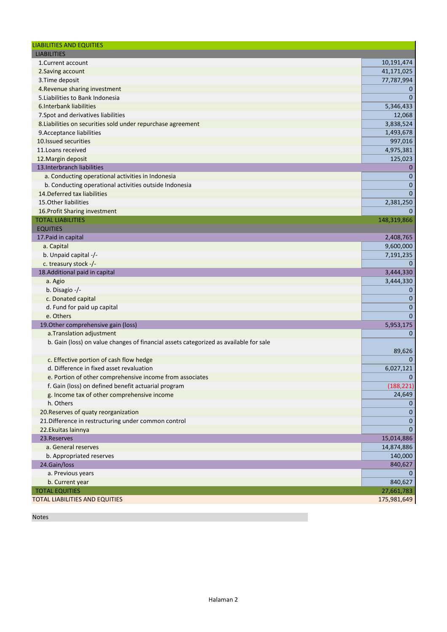| <b>LIABILITIES AND EQUITIES</b>                                                       |              |
|---------------------------------------------------------------------------------------|--------------|
| <b>LIABILITIES</b>                                                                    |              |
| 1. Current account                                                                    | 10,191,474   |
| 2. Saving account                                                                     | 41,171,025   |
| 3. Time deposit                                                                       | 77,787,994   |
| 4. Revenue sharing investment                                                         | $\mathbf{0}$ |
| 5. Liabilities to Bank Indonesia                                                      | $\mathbf{0}$ |
| 6. Interbank liabilities                                                              | 5,346,433    |
| 7. Spot and derivatives liabilities                                                   | 12,068       |
| 8. Liabilities on securities sold under repurchase agreement                          | 3,838,524    |
| 9. Acceptance liabilities                                                             | 1,493,678    |
| 10. Issued securities                                                                 | 997,016      |
| 11. Loans received                                                                    | 4,975,381    |
| 12. Margin deposit                                                                    | 125,023      |
| 13. Interbranch liabilities                                                           | $\mathbf 0$  |
| a. Conducting operational activities in Indonesia                                     | $\mathbf{0}$ |
| b. Conducting operational activities outside Indonesia                                | $\mathbf 0$  |
| 14. Deferred tax liabilities                                                          | $\Omega$     |
| 15. Other liabilities                                                                 | 2,381,250    |
| 16. Profit Sharing investment                                                         | $\Omega$     |
| <b>TOTAL LIABILITIES</b>                                                              | 148,319,866  |
| <b>EQUITIES</b>                                                                       |              |
| 17. Paid in capital                                                                   | 2,408,765    |
| a. Capital                                                                            | 9,600,000    |
| b. Unpaid capital -/-                                                                 | 7,191,235    |
| c. treasury stock -/-                                                                 | $\Omega$     |
| 18. Additional paid in capital                                                        | 3,444,330    |
| a. Agio                                                                               | 3,444,330    |
| b. Disagio -/-                                                                        | $\mathbf 0$  |
| c. Donated capital                                                                    | $\mathbf 0$  |
| d. Fund for paid up capital                                                           | $\mathbf 0$  |
| e. Others                                                                             | $\mathbf{0}$ |
| 19. Other comprehensive gain (loss)                                                   | 5,953,175    |
| a. Translation adjustment                                                             | $\mathbf 0$  |
| b. Gain (loss) on value changes of financial assets categorized as available for sale |              |
|                                                                                       | 89,626       |
| c. Effective portion of cash flow hedge                                               | $\Omega$     |
| d. Difference in fixed asset revaluation                                              | 6,027,121    |
| e. Portion of other comprehensive income from associates                              | $\Omega$     |
| f. Gain (loss) on defined benefit actuarial program                                   | (188, 221)   |
| g. Income tax of other comprehensive income                                           | 24,649       |
| h. Others                                                                             | $\mathbf{0}$ |
| 20. Reserves of quaty reorganization                                                  | $\mathbf 0$  |
| 21. Difference in restructuring under common control                                  | $\mathbf{0}$ |
| 22. Ekuitas lainnya                                                                   | $\bf{0}$     |
| 23. Reserves                                                                          | 15,014,886   |
| a. General reserves                                                                   | 14,874,886   |
| b. Appropriated reserves                                                              | 140,000      |
| 24.Gain/loss                                                                          | 840,627      |
| a. Previous years                                                                     |              |
| b. Current year                                                                       | 840,627      |
| <b>TOTAL EQUITIES</b>                                                                 | 27,661,783   |
| <b>TOTAL LIABILITIES AND EQUITIES</b>                                                 | 175,981,649  |

Notes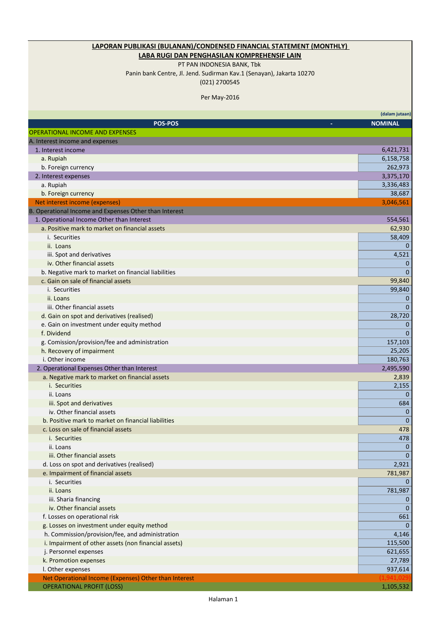## **LAPORAN PUBLIKASI (BULANAN)/CONDENSED FINANCIAL STATEMENT (MONTHLY)**

### **LABA RUGI DAN PENGHASILAN KOMPREHENSIF LAIN**

PT PAN INDONESIA BANK, Tbk

Panin bank Centre, Jl. Jend. Sudirman Kav.1 (Senayan), Jakarta 10270 (021) 2700545

Per May-2016

|                                                        | (dalam jutaan) |
|--------------------------------------------------------|----------------|
| <b>POS-POS</b>                                         | <b>NOMINAL</b> |
| <b>OPERATIONAL INCOME AND EXPENSES</b>                 |                |
| A. Interest income and expenses                        |                |
| 1. Interest income                                     | 6,421,731      |
| a. Rupiah                                              | 6,158,758      |
| b. Foreign currency                                    | 262,973        |
| 2. Interest expenses                                   | 3,375,170      |
| a. Rupiah                                              | 3,336,483      |
| b. Foreign currency                                    | 38,687         |
| Net interest income (expenses)                         | 3,046,561      |
| B. Operational Income and Expenses Other than Interest |                |
| 1. Operational Income Other than Interest              | 554,561        |
| a. Positive mark to market on financial assets         | 62,930         |
| i. Securities                                          | 58,409         |
| ii. Loans                                              | $\mathbf{0}$   |
| iii. Spot and derivatives                              | 4,521          |
| iv. Other financial assets                             | $\mathbf 0$    |
| b. Negative mark to market on financial liabilities    | $\mathbf{0}$   |
| c. Gain on sale of financial assets                    | 99,840         |
| i. Securities                                          | 99,840         |
| ii. Loans                                              | 0              |
| iii. Other financial assets                            | $\Omega$       |
| d. Gain on spot and derivatives (realised)             | 28,720         |
| e. Gain on investment under equity method              | $\mathbf{0}$   |
| f. Dividend                                            | $\mathbf{0}$   |
| g. Comission/provision/fee and administration          | 157,103        |
| h. Recovery of impairment                              | 25,205         |
| i. Other income                                        | 180,763        |
| 2. Operational Expenses Other than Interest            | 2,495,590      |
| a. Negative mark to market on financial assets         | 2,839          |
| i. Securities                                          | 2,155          |
| ii. Loans                                              | $\Omega$       |
| iii. Spot and derivatives                              | 684            |
| iv. Other financial assets                             | $\mathbf 0$    |
| b. Positive mark to market on financial liabilities    | $\mathbf{0}$   |
| c. Loss on sale of financial assets                    | 478            |
| i. Securities                                          | 478            |
| ii. Loans                                              | $\Omega$       |
| iii. Other financial assets                            | $\mathbf{0}$   |
| d. Loss on spot and derivatives (realised)             | 2,921          |
| e. Impairment of financial assets                      | 781,987        |
| i. Securities                                          | $\mathbf{0}$   |
| ii. Loans                                              | 781,987        |
| iii. Sharia financing                                  | $\bf{0}$       |
| iv. Other financial assets                             | $\mathbf{0}$   |
| f. Losses on operational risk                          | 661            |
| g. Losses on investment under equity method            | $\Omega$       |
| h. Commission/provision/fee, and administration        | 4,146          |
| i. Impairment of other assets (non financial assets)   | 115,500        |
| j. Personnel expenses                                  | 621,655        |
| k. Promotion expenses                                  | 27,789         |
| I. Other expenses                                      | 937,614        |
| Net Operational Income (Expenses) Other than Interest  |                |
| <b>OPERATIONAL PROFIT (LOSS)</b>                       | 1,105,532      |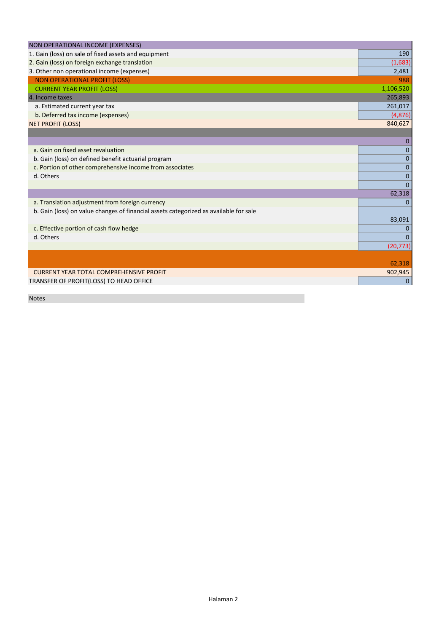| NON OPERATIONAL INCOME (EXPENSES)                                                     |                |
|---------------------------------------------------------------------------------------|----------------|
| 1. Gain (loss) on sale of fixed assets and equipment                                  | 190            |
| 2. Gain (loss) on foreign exchange translation                                        | (1,683)        |
| 3. Other non operational income (expenses)                                            | 2,481          |
| <b>NON OPERATIONAL PROFIT (LOSS)</b>                                                  | 988            |
| <b>CURRENT YEAR PROFIT (LOSS)</b>                                                     | 1,106,520      |
| 4. Income taxes                                                                       | 265,893        |
| a. Estimated current year tax                                                         | 261,017        |
| b. Deferred tax income (expenses)                                                     | (4,876)        |
| <b>NET PROFIT (LOSS)</b>                                                              | 840,627        |
|                                                                                       |                |
|                                                                                       | 0              |
| a. Gain on fixed asset revaluation                                                    | $\overline{0}$ |
| b. Gain (loss) on defined benefit actuarial program                                   | $\mathbf{0}$   |
| c. Portion of other comprehensive income from associates                              | $\mathbf 0$    |
| d. Others                                                                             | $\mathbf 0$    |
|                                                                                       | $\mathbf 0$    |
|                                                                                       | 62,318         |
| a. Translation adjustment from foreign currency                                       | $\Omega$       |
| b. Gain (loss) on value changes of financial assets categorized as available for sale |                |
|                                                                                       | 83,091         |
| c. Effective portion of cash flow hedge                                               | $\mathbf 0$    |
| d. Others                                                                             | $\Omega$       |
|                                                                                       | (20, 773)      |
|                                                                                       |                |
|                                                                                       | 62,318         |
| <b>CURRENT YEAR TOTAL COMPREHENSIVE PROFIT</b>                                        | 902,945        |
| TRANSFER OF PROFIT(LOSS) TO HEAD OFFICE                                               | $\mathbf{0}$   |
|                                                                                       |                |

Notes